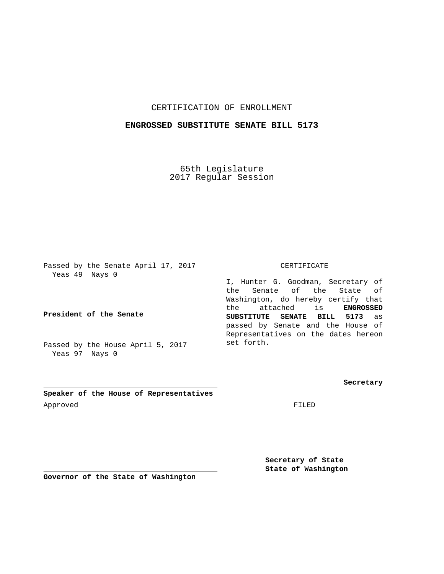## CERTIFICATION OF ENROLLMENT

## **ENGROSSED SUBSTITUTE SENATE BILL 5173**

65th Legislature 2017 Regular Session

Passed by the Senate April 17, 2017 Yeas 49 Nays 0

**President of the Senate**

Passed by the House April 5, 2017 Yeas 97 Nays 0

CERTIFICATE

I, Hunter G. Goodman, Secretary of the Senate of the State of Washington, do hereby certify that the attached is **ENGROSSED SUBSTITUTE SENATE BILL 5173** as passed by Senate and the House of Representatives on the dates hereon set forth.

**Secretary**

**Speaker of the House of Representatives** Approved FILED

**Secretary of State State of Washington**

**Governor of the State of Washington**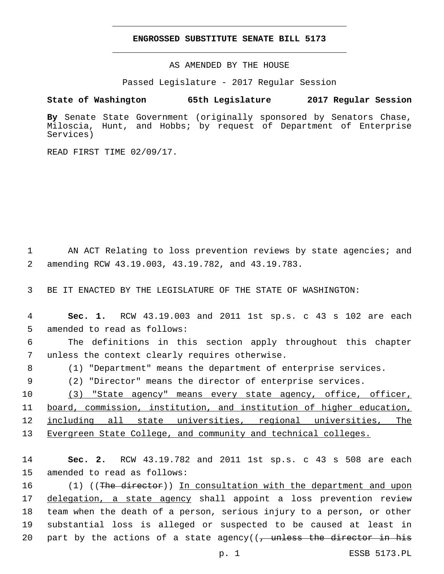## **ENGROSSED SUBSTITUTE SENATE BILL 5173**

AS AMENDED BY THE HOUSE

Passed Legislature - 2017 Regular Session

## **State of Washington 65th Legislature 2017 Regular Session**

**By** Senate State Government (originally sponsored by Senators Chase, Miloscia, Hunt, and Hobbs; by request of Department of Enterprise Services)

READ FIRST TIME 02/09/17.

1 AN ACT Relating to loss prevention reviews by state agencies; and amending RCW 43.19.003, 43.19.782, and 43.19.783.2

3 BE IT ENACTED BY THE LEGISLATURE OF THE STATE OF WASHINGTON:

4 **Sec. 1.** RCW 43.19.003 and 2011 1st sp.s. c 43 s 102 are each 5 amended to read as follows:

6 The definitions in this section apply throughout this chapter 7 unless the context clearly requires otherwise.

8 (1) "Department" means the department of enterprise services.

9 (2) "Director" means the director of enterprise services.

10 (3) "State agency" means every state agency, office, officer, board, commission, institution, and institution of higher education, including all state universities, regional universities, The Evergreen State College, and community and technical colleges.

14 **Sec. 2.** RCW 43.19.782 and 2011 1st sp.s. c 43 s 508 are each 15 amended to read as follows:

16 (1) ((The director)) In consultation with the department and upon 17 delegation, a state agency shall appoint a loss prevention review 18 team when the death of a person, serious injury to a person, or other 19 substantial loss is alleged or suspected to be caused at least in 20 part by the actions of a state agency( $(-)$  unless the director in his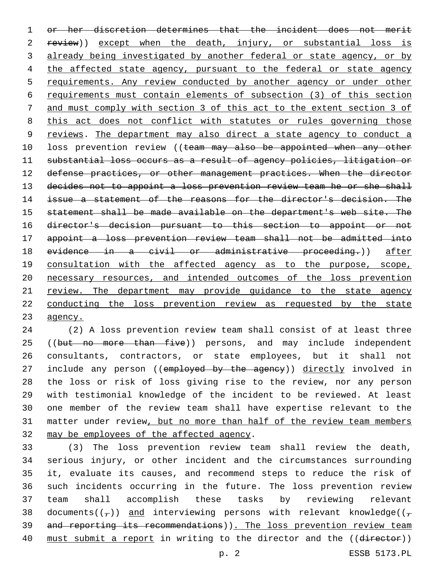1 or her discretion determines that the incident does not merit 2 review)) except when the death, injury, or substantial loss is 3 already being investigated by another federal or state agency, or by 4 the affected state agency, pursuant to the federal or state agency 5 requirements. Any review conducted by another agency or under other 6 requirements must contain elements of subsection (3) of this section 7 and must comply with section 3 of this act to the extent section 3 of 8 this act does not conflict with statutes or rules governing those 9 reviews. The department may also direct a state agency to conduct a 10 loss prevention review ((team may also be appointed when any other 11 substantial loss occurs as a result of agency policies, litigation or 12 defense practices, or other management practices. When the director 13 decides not to appoint a loss prevention review team he or she shall 14 issue a statement of the reasons for the director's decision. The 15 statement shall be made available on the department's web site. The 16 director's decision pursuant to this section to appoint or not 17 appoint a loss prevention review team shall not be admitted into 18 evidence in a civil or administrative proceeding.)) after 19 consultation with the affected agency as to the purpose, scope, 20 necessary resources, and intended outcomes of the loss prevention 21 review. The department may provide guidance to the state agency 22 conducting the loss prevention review as requested by the state 23 agency.

24 (2) A loss prevention review team shall consist of at least three 25 ((but no more than five)) persons, and may include independent 26 consultants, contractors, or state employees, but it shall not 27 include any person ((employed by the agency)) directly involved in 28 the loss or risk of loss giving rise to the review, nor any person 29 with testimonial knowledge of the incident to be reviewed. At least 30 one member of the review team shall have expertise relevant to the 31 matter under review, but no more than half of the review team members 32 may be employees of the affected agency.

 (3) The loss prevention review team shall review the death, serious injury, or other incident and the circumstances surrounding it, evaluate its causes, and recommend steps to reduce the risk of such incidents occurring in the future. The loss prevention review team shall accomplish these tasks by reviewing relevant 38 documents( $(\tau)$ ) and interviewing persons with relevant knowledge( $(\tau)$ 39 and reporting its recommendations)). The loss prevention review team 40 must submit a report in writing to the director and the ((director))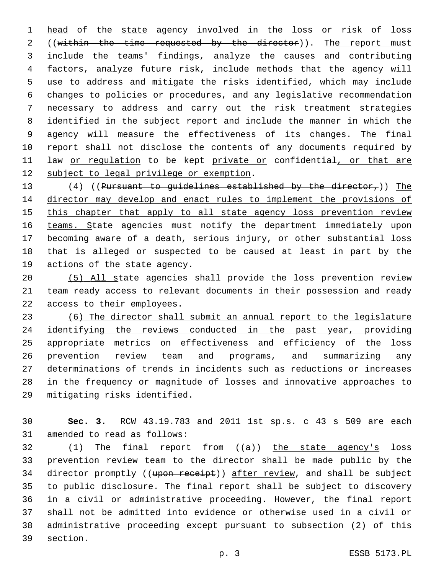1 head of the state agency involved in the loss or risk of loss 2 ((within the time requested by the director)). The report must include the teams' findings, analyze the causes and contributing factors, analyze future risk, include methods that the agency will use to address and mitigate the risks identified, which may include changes to policies or procedures, and any legislative recommendation necessary to address and carry out the risk treatment strategies identified in the subject report and include the manner in which the agency will measure the effectiveness of its changes. The final report shall not disclose the contents of any documents required by 11 law or regulation to be kept private or confidential, or that are 12 subject to legal privilege or exemption.

13 (4) ((Pursuant to guidelines established by the director,)) The director may develop and enact rules to implement the provisions of this chapter that apply to all state agency loss prevention review 16 teams. State agencies must notify the department immediately upon becoming aware of a death, serious injury, or other substantial loss that is alleged or suspected to be caused at least in part by the 19 actions of the state agency.

 (5) All state agencies shall provide the loss prevention review team ready access to relevant documents in their possession and ready 22 access to their employees.

 (6) The director shall submit an annual report to the legislature 24 identifying the reviews conducted in the past year, providing appropriate metrics on effectiveness and efficiency of the loss prevention review team and programs, and summarizing any determinations of trends in incidents such as reductions or increases in the frequency or magnitude of losses and innovative approaches to mitigating risks identified.

 **Sec. 3.** RCW 43.19.783 and 2011 1st sp.s. c 43 s 509 are each 31 amended to read as follows:

 (1) The final report from ((a)) the state agency's loss prevention review team to the director shall be made public by the 34 director promptly ((upon receipt)) after review, and shall be subject to public disclosure. The final report shall be subject to discovery in a civil or administrative proceeding. However, the final report shall not be admitted into evidence or otherwise used in a civil or administrative proceeding except pursuant to subsection (2) of this 39 section.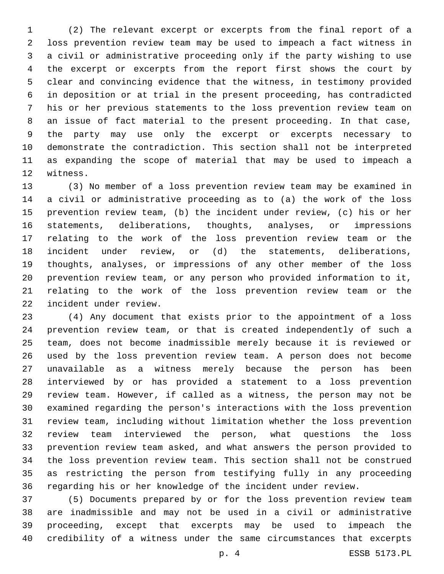(2) The relevant excerpt or excerpts from the final report of a loss prevention review team may be used to impeach a fact witness in a civil or administrative proceeding only if the party wishing to use the excerpt or excerpts from the report first shows the court by clear and convincing evidence that the witness, in testimony provided in deposition or at trial in the present proceeding, has contradicted his or her previous statements to the loss prevention review team on an issue of fact material to the present proceeding. In that case, the party may use only the excerpt or excerpts necessary to demonstrate the contradiction. This section shall not be interpreted as expanding the scope of material that may be used to impeach a 12 witness.

 (3) No member of a loss prevention review team may be examined in a civil or administrative proceeding as to (a) the work of the loss prevention review team, (b) the incident under review, (c) his or her statements, deliberations, thoughts, analyses, or impressions relating to the work of the loss prevention review team or the incident under review, or (d) the statements, deliberations, thoughts, analyses, or impressions of any other member of the loss prevention review team, or any person who provided information to it, relating to the work of the loss prevention review team or the 22 incident under review.

 (4) Any document that exists prior to the appointment of a loss prevention review team, or that is created independently of such a team, does not become inadmissible merely because it is reviewed or used by the loss prevention review team. A person does not become unavailable as a witness merely because the person has been interviewed by or has provided a statement to a loss prevention review team. However, if called as a witness, the person may not be examined regarding the person's interactions with the loss prevention review team, including without limitation whether the loss prevention review team interviewed the person, what questions the loss prevention review team asked, and what answers the person provided to the loss prevention review team. This section shall not be construed as restricting the person from testifying fully in any proceeding regarding his or her knowledge of the incident under review.

 (5) Documents prepared by or for the loss prevention review team are inadmissible and may not be used in a civil or administrative proceeding, except that excerpts may be used to impeach the credibility of a witness under the same circumstances that excerpts